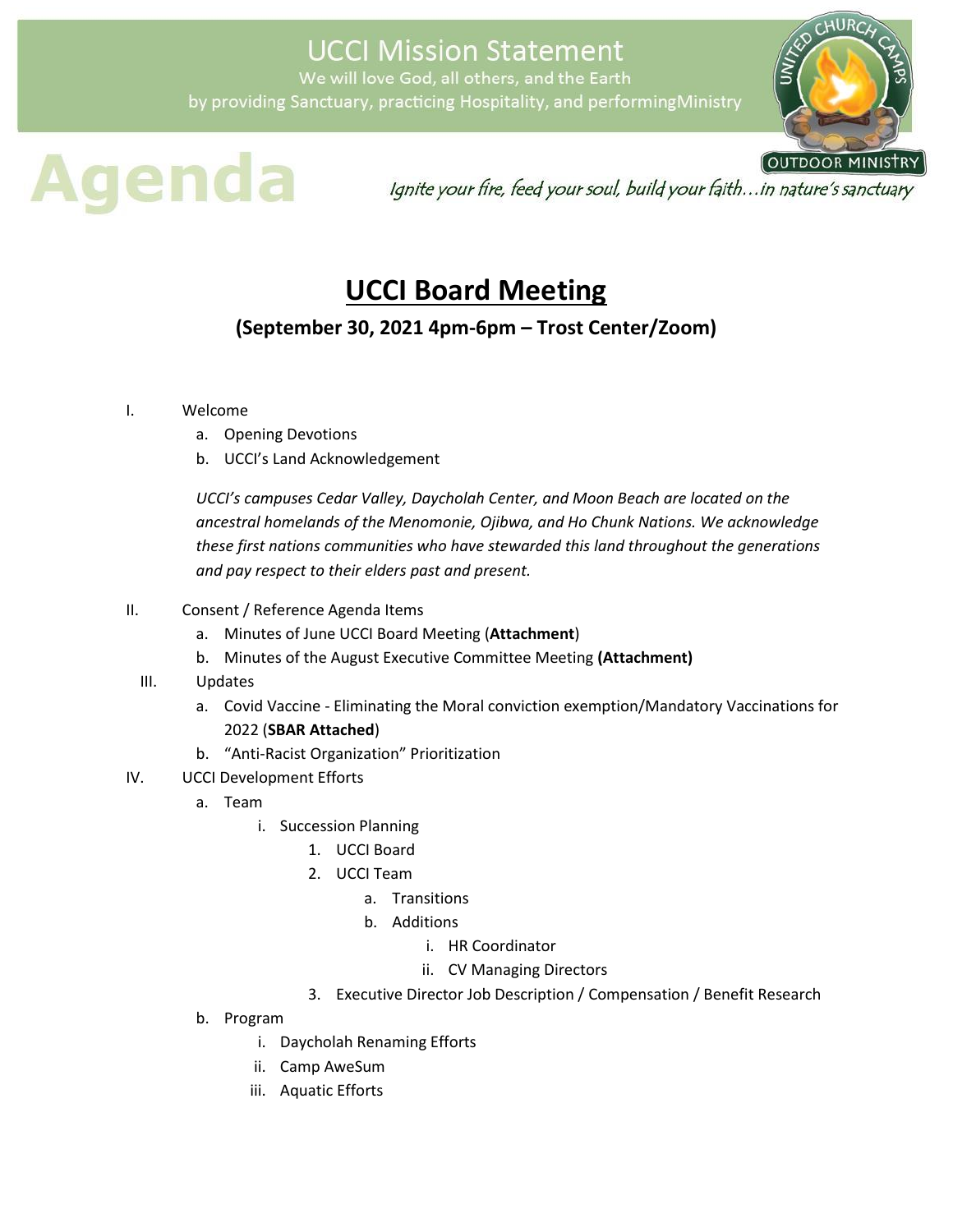## **UCCI Mission Statement**

We will love God, all others, and the Earth by providing Sanctuary, practicing Hospitality, and performing Ministry



 $HURC$ OUTDOOR MINISTRY

Ignite your fire, feed your soul, build your faith...in nature's sanctuary

# **UCCI Board Meeting**

### **(September 30, 2021 4pm-6pm – Trost Center/Zoom)**

- I. Welcome
	- a. Opening Devotions

UCCI is inviting you to a scheduled Zoom meeting.

b. UCCI's Land Acknowledgement

*UCCI's campuses Cedar Valley, Daycholah Center, and Moon Beach are located on the ancestral homelands of the Menomonie, Ojibwa, and Ho Chunk Nations. We acknowledge these first nations communities who have stewarded this land throughout the generations and pay respect to their elders past and present.* 

#### II. Consent / Reference Agenda Items

- a. Minutes of June UCCI Board Meeting (**Attachment**)
- b. Minutes of the August Executive Committee Meeting **(Attachment)**
- III. Updates
	- a. Covid Vaccine Eliminating the Moral conviction exemption/Mandatory Vaccinations for 2022 (**SBAR Attached**)
	- b. "Anti-Racist Organization" Prioritization
- IV. UCCI Development Efforts
	- a. Team
		- i. Succession Planning
			- 1. UCCI Board
			- 2. UCCI Team
				- a. Transitions
				- b. Additions
					- i. HR Coordinator
					- ii. CV Managing Directors
			- 3. Executive Director Job Description / Compensation / Benefit Research
	- b. Program
		- i. Daycholah Renaming Efforts
		- ii. Camp AweSum
		- iii. Aquatic Efforts